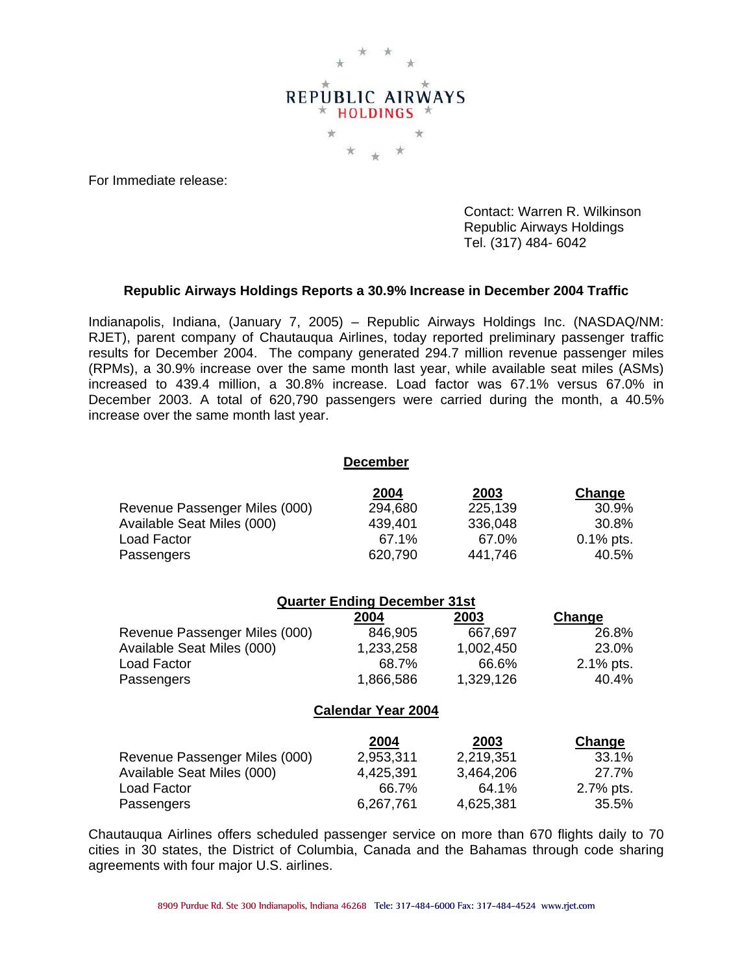

For Immediate release:

 Contact: Warren R. Wilkinson Republic Airways Holdings Tel. (317) 484- 6042

## **Republic Airways Holdings Reports a 30.9% Increase in December 2004 Traffic**

Indianapolis, Indiana, (January 7, 2005) – Republic Airways Holdings Inc. (NASDAQ/NM: RJET), parent company of Chautauqua Airlines, today reported preliminary passenger traffic results for December 2004. The company generated 294.7 million revenue passenger miles (RPMs), a 30.9% increase over the same month last year, while available seat miles (ASMs) increased to 439.4 million, a 30.8% increase. Load factor was 67.1% versus 67.0% in December 2003. A total of 620,790 passengers were carried during the month, a 40.5% increase over the same month last year.

|                               | <b>December</b> |         |              |
|-------------------------------|-----------------|---------|--------------|
|                               | 2004            | 2003    | Change       |
| Revenue Passenger Miles (000) | 294,680         | 225,139 | 30.9%        |
| Available Seat Miles (000)    | 439,401         | 336,048 | 30.8%        |
| Load Factor                   | 67.1%           | 67.0%   | $0.1\%$ pts. |
| Passengers                    | 620,790         | 441,746 | 40.5%        |

**December**

| <b>Quarter Ending December 31st</b> |                           |           |               |  |  |
|-------------------------------------|---------------------------|-----------|---------------|--|--|
|                                     | 2004                      | 2003      | Change        |  |  |
| Revenue Passenger Miles (000)       | 846,905                   | 667,697   | 26.8%         |  |  |
| Available Seat Miles (000)          | 1,233,258                 | 1,002,450 | 23.0%         |  |  |
| Load Factor                         | 68.7%                     | 66.6%     | 2.1% pts.     |  |  |
| Passengers                          | 1,866,586                 | 1,329,126 | 40.4%         |  |  |
|                                     | <b>Calendar Year 2004</b> |           |               |  |  |
|                                     | 2004                      | 2003      | <b>Change</b> |  |  |
| Revenue Passenger Miles (000)       | 2,953,311                 | 2,219,351 | 33.1%         |  |  |
| Available Seat Miles (000)          | 4,425,391                 | 3,464,206 | 27.7%         |  |  |
| Load Factor                         | 66.7%                     | 64.1%     | 2.7% pts.     |  |  |

Chautauqua Airlines offers scheduled passenger service on more than 670 flights daily to 70 cities in 30 states, the District of Columbia, Canada and the Bahamas through code sharing agreements with four major U.S. airlines.

Passengers 6,267,761 4,625,381 35.5%